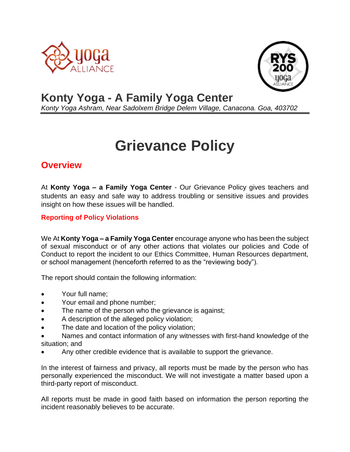



## **Konty Yoga - A Family Yoga Center**

*Konty Yoga Ashram, Near Sadolxem Bridge Delem Village, Canacona. Goa, 403702*

# **Grievance Policy**

### **Overview**

At **Konty Yoga – a Family Yoga Center** - Our Grievance Policy gives teachers and students an easy and safe way to address troubling or sensitive issues and provides insight on how these issues will be handled.

#### **Reporting of Policy Violations**

We At **Konty Yoga – a Family Yoga Center** encourage anyone who has been the subject of sexual misconduct or of any other actions that violates our policies and Code of Conduct to report the incident to our Ethics Committee, Human Resources department, or school management (henceforth referred to as the "reviewing body").

The report should contain the following information:

- Your full name:
- Your email and phone number;
- The name of the person who the grievance is against;
- A description of the alleged policy violation;
- The date and location of the policy violation;
- Names and contact information of any witnesses with first-hand knowledge of the situation; and
- Any other credible evidence that is available to support the grievance.

In the interest of fairness and privacy, all reports must be made by the person who has personally experienced the misconduct. We will not investigate a matter based upon a third-party report of misconduct.

All reports must be made in good faith based on information the person reporting the incident reasonably believes to be accurate.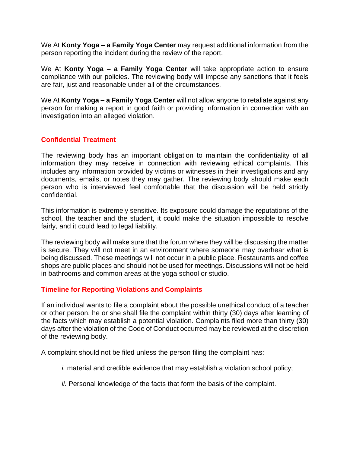We At **Konty Yoga – a Family Yoga Center** may request additional information from the person reporting the incident during the review of the report.

We At **Konty Yoga – a Family Yoga Center** will take appropriate action to ensure compliance with our policies. The reviewing body will impose any sanctions that it feels are fair, just and reasonable under all of the circumstances.

We At **Konty Yoga – a Family Yoga Center** will not allow anyone to retaliate against any person for making a report in good faith or providing information in connection with an investigation into an alleged violation.

#### **Confidential Treatment**

The reviewing body has an important obligation to maintain the confidentiality of all information they may receive in connection with reviewing ethical complaints. This includes any information provided by victims or witnesses in their investigations and any documents, emails, or notes they may gather. The reviewing body should make each person who is interviewed feel comfortable that the discussion will be held strictly confidential.

This information is extremely sensitive. Its exposure could damage the reputations of the school, the teacher and the student, it could make the situation impossible to resolve fairly, and it could lead to legal liability.

The reviewing body will make sure that the forum where they will be discussing the matter is secure. They will not meet in an environment where someone may overhear what is being discussed. These meetings will not occur in a public place. Restaurants and coffee shops are public places and should not be used for meetings. Discussions will not be held in bathrooms and common areas at the yoga school or studio.

#### **Timeline for Reporting Violations and Complaints**

If an individual wants to file a complaint about the possible unethical conduct of a teacher or other person, he or she shall file the complaint within thirty (30) days after learning of the facts which may establish a potential violation. Complaints filed more than thirty (30) days after the violation of the Code of Conduct occurred may be reviewed at the discretion of the reviewing body.

A complaint should not be filed unless the person filing the complaint has:

- *i.* material and credible evidence that may establish a violation school policy;
- *ii.* Personal knowledge of the facts that form the basis of the complaint.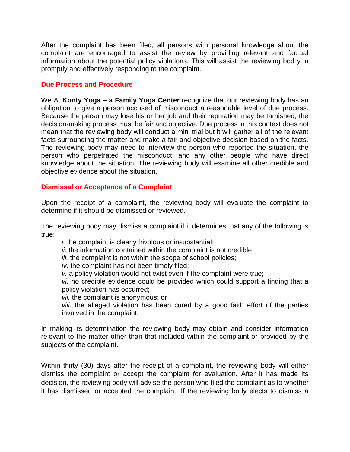After the complaint has been filed, all persons with personal knowledge about the complaint are encouraged to assist the review by providing relevant and factual information about the potential policy violations. This will assist the reviewing bod y in promptly and effectively responding to the complaint.

#### **Due Process and Procedure**

We At **Konty Yoga – a Family Yoga Center** recognize that our reviewing body has an obligation to give a person accused of misconduct a reasonable level of due process. Because the person may lose his or her job and their reputation may be tarnished, the decision-making process must be fair and objective. Due process in this context does not mean that the reviewing body will conduct a mini trial but it will gather all of the relevant facts surrounding the matter and make a fair and objective decision based on the facts. The reviewing body may need to interview the person who reported the situation, the person who perpetrated the misconduct, and any other people who have direct knowledge about the situation. The reviewing body will examine all other credible and objective evidence about the situation.

#### **Dismissal or Acceptance of a Complaint**

Upon the receipt of a complaint, the reviewing body will evaluate the complaint to determine if it should be dismissed or reviewed.

The reviewing body may dismiss a complaint if it determines that any of the following is true:

*i.* the complaint is clearly frivolous or insubstantial;

*ii.* the information contained within the complaint is not credible;

*iii.* the complaint is not within the scope of school policies;

*iv.* the complaint has not been timely filed;

*v.* a policy violation would not exist even if the complaint were true;

*vi.* no credible evidence could be provided which could support a finding that a policy violation has occurred;

*vii.* the complaint is anonymous; or

*viii.* the alleged violation has been cured by a good faith effort of the parties involved in the complaint.

In making its determination the reviewing body may obtain and consider information relevant to the matter other than that included within the complaint or provided by the subjects of the complaint.

Within thirty (30) days after the receipt of a complaint, the reviewing body will either dismiss the complaint or accept the complaint for evaluation. After it has made its decision, the reviewing body will advise the person who filed the complaint as to whether it has dismissed or accepted the complaint. If the reviewing body elects to dismiss a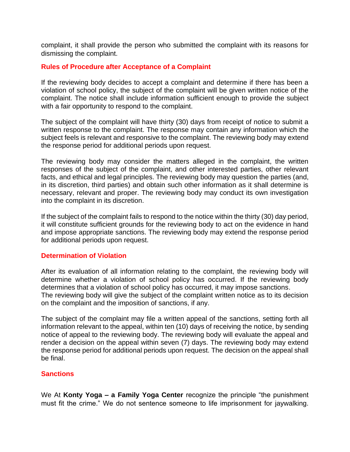complaint, it shall provide the person who submitted the complaint with its reasons for dismissing the complaint.

#### **Rules of Procedure after Acceptance of a Complaint**

If the reviewing body decides to accept a complaint and determine if there has been a violation of school policy, the subject of the complaint will be given written notice of the complaint. The notice shall include information sufficient enough to provide the subject with a fair opportunity to respond to the complaint.

The subject of the complaint will have thirty (30) days from receipt of notice to submit a written response to the complaint. The response may contain any information which the subject feels is relevant and responsive to the complaint. The reviewing body may extend the response period for additional periods upon request.

The reviewing body may consider the matters alleged in the complaint, the written responses of the subject of the complaint, and other interested parties, other relevant facts, and ethical and legal principles. The reviewing body may question the parties (and, in its discretion, third parties) and obtain such other information as it shall determine is necessary, relevant and proper. The reviewing body may conduct its own investigation into the complaint in its discretion.

If the subject of the complaint fails to respond to the notice within the thirty (30) day period, it will constitute sufficient grounds for the reviewing body to act on the evidence in hand and impose appropriate sanctions. The reviewing body may extend the response period for additional periods upon request.

#### **Determination of Violation**

After its evaluation of all information relating to the complaint, the reviewing body will determine whether a violation of school policy has occurred. If the reviewing body determines that a violation of school policy has occurred, it may impose sanctions. The reviewing body will give the subject of the complaint written notice as to its decision on the complaint and the imposition of sanctions, if any.

The subject of the complaint may file a written appeal of the sanctions, setting forth all information relevant to the appeal, within ten (10) days of receiving the notice, by sending notice of appeal to the reviewing body. The reviewing body will evaluate the appeal and render a decision on the appeal within seven (7) days. The reviewing body may extend the response period for additional periods upon request. The decision on the appeal shall be final.

#### **Sanctions**

We At **Konty Yoga – a Family Yoga Center** recognize the principle "the punishment must fit the crime." We do not sentence someone to life imprisonment for jaywalking.